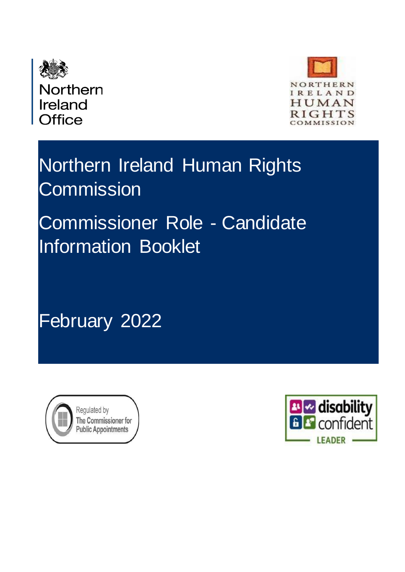

Northern Ireland **Office** 



# Northern Ireland Human Rights **Commission**

# Commissioner Role - Candidate Information Booklet

February 2022



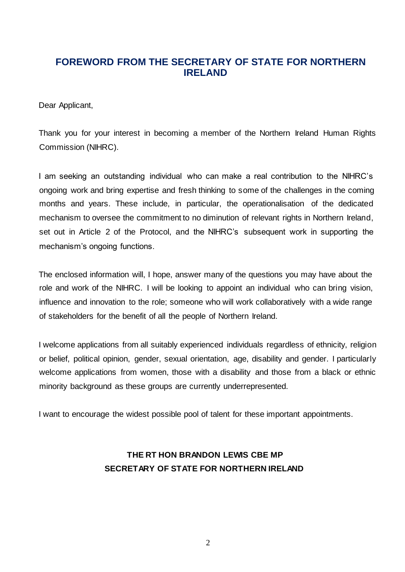## **FOREWORD FROM THE SECRETARY OF STATE FOR NORTHERN IRELAND**

Dear Applicant,

Thank you for your interest in becoming a member of the Northern Ireland Human Rights Commission (NIHRC).

I am seeking an outstanding individual who can make a real contribution to the NIHRC's ongoing work and bring expertise and fresh thinking to some of the challenges in the coming months and years. These include, in particular, the operationalisation of the dedicated mechanism to oversee the commitment to no diminution of relevant rights in Northern Ireland, set out in Article 2 of the Protocol, and the NIHRC's subsequent work in supporting the mechanism's ongoing functions.

The enclosed information will, I hope, answer many of the questions you may have about the role and work of the NIHRC. I will be looking to appoint an individual who can bring vision, influence and innovation to the role; someone who will work collaboratively with a wide range of stakeholders for the benefit of all the people of Northern Ireland.

I welcome applications from all suitably experienced individuals regardless of ethnicity, religion or belief, political opinion, gender, sexual orientation, age, disability and gender. I particularly welcome applications from women, those with a disability and those from a black or ethnic minority background as these groups are currently underrepresented.

I want to encourage the widest possible pool of talent for these important appointments.

## **THE RT HON BRANDON LEWIS CBE MP SECRETARY OF STATE FOR NORTHERN IRELAND**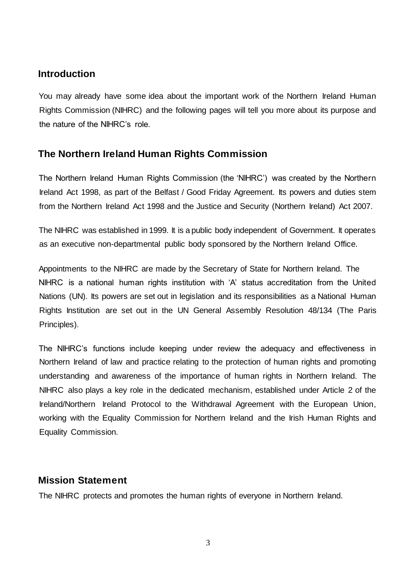#### **Introduction**

You may already have some idea about the important work of the Northern Ireland Human Rights Commission (NIHRC) and the following pages will tell you more about its purpose and the nature of the NIHRC's role.

# **The Northern Ireland Human Rights Commission**

The Northern Ireland Human Rights Commission (the 'NIHRC') was created by the Northern Ireland Act 1998, as part of the Belfast / Good Friday Agreement. Its powers and duties stem from the Northern Ireland Act 1998 and the Justice and Security (Northern Ireland) Act 2007.

The NIHRC was established in 1999. It is a public body independent of Government. It operates as an executive non-departmental public body sponsored by the Northern Ireland Office.

Appointments to the NIHRC are made by the Secretary of State for Northern Ireland. The NIHRC is a national human rights institution with 'A' status accreditation from the United Nations (UN). Its powers are set out in legislation and its responsibilities as a National Human Rights Institution are set out in the UN General Assembly Resolution 48/134 (The Paris Principles).

The NIHRC's functions include keeping under review the adequacy and effectiveness in Northern Ireland of law and practice relating to the protection of human rights and promoting understanding and awareness of the importance of human rights in Northern Ireland. The NIHRC also plays a key role in the dedicated mechanism, established under Article 2 of the Ireland/Northern Ireland Protocol to the Withdrawal Agreement with the European Union, working with the Equality Commission for Northern Ireland and the Irish Human Rights and Equality Commission.

#### **Mission Statement**

The NIHRC protects and promotes the human rights of everyone in Northern Ireland.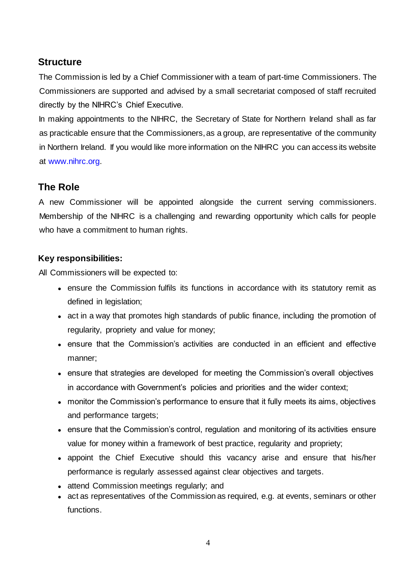#### **Structure**

The Commission is led by a Chief Commissioner with a team of part-time Commissioners. The Commissioners are supported and advised by a small secretariat composed of staff recruited directly by the NIHRC's Chief Executive.

In making appointments to the NIHRC, the Secretary of State for Northern Ireland shall as far as practicable ensure that the Commissioners, as a group, are representative of the community in Northern Ireland. If you would like more information on the NIHRC you can access its website at [www.nihrc.org.](http://www.nihrc.org/)

# **The Role**

A new Commissioner will be appointed alongside the current serving commissioners. Membership of the NIHRC is a challenging and rewarding opportunity which calls for people who have a commitment to human rights.

#### **Key responsibilities:**

All Commissioners will be expected to:

- ensure the Commission fulfils its functions in accordance with its statutory remit as defined in legislation;
- act in a way that promotes high standards of public finance, including the promotion of regularity, propriety and value for money;
- ensure that the Commission's activities are conducted in an efficient and effective manner;
- ensure that strategies are developed for meeting the Commission's overall objectives in accordance with Government's policies and priorities and the wider context;
- monitor the Commission's performance to ensure that it fully meets its aims, objectives and performance targets;
- ensure that the Commission's control, regulation and monitoring of its activities ensure value for money within a framework of best practice, regularity and propriety;
- appoint the Chief Executive should this vacancy arise and ensure that his/her performance is regularly assessed against clear objectives and targets.
- attend Commission meetings regularly; and
- act as representatives of the Commission as required, e.g. at events, seminars or other functions.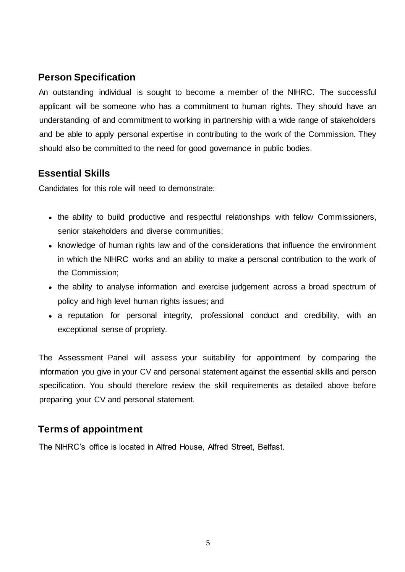# **Person Specification**

An outstanding individual is sought to become a member of the NIHRC. The successful applicant will be someone who has a commitment to human rights. They should have an understanding of and commitment to working in partnership with a wide range of stakeholders and be able to apply personal expertise in contributing to the work of the Commission. They should also be committed to the need for good governance in public bodies.

## **Essential Skills**

Candidates for this role will need to demonstrate:

- the ability to build productive and respectful relationships with fellow Commissioners, senior stakeholders and diverse communities;
- knowledge of human rights law and of the considerations that influence the environment in which the NIHRC works and an ability to make a personal contribution to the work of the Commission;
- the ability to analyse information and exercise judgement across a broad spectrum of policy and high level human rights issues; and
- a reputation for personal integrity, professional conduct and credibility, with an exceptional sense of propriety.

The Assessment Panel will assess your suitability for appointment by comparing the information you give in your CV and personal statement against the essential skills and person specification. You should therefore review the skill requirements as detailed above before preparing your CV and personal statement.

#### **Terms of appointment**

The NIHRC's office is located in Alfred House, Alfred Street, Belfast.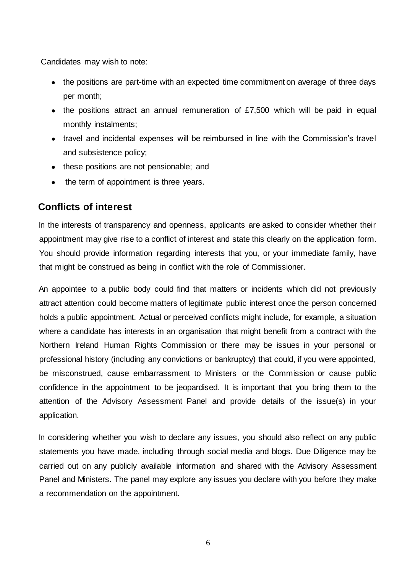Candidates may wish to note:

- the positions are part-time with an expected time commitment on average of three days per month;
- the positions attract an annual remuneration of £7,500 which will be paid in equal monthly instalments;
- travel and incidental expenses will be reimbursed in line with the Commission's travel and subsistence policy;
- these positions are not pensionable; and
- the term of appointment is three years.

#### **Conflicts of interest**

In the interests of transparency and openness, applicants are asked to consider whether their appointment may give rise to a conflict of interest and state this clearly on the application form. You should provide information regarding interests that you, or your immediate family, have that might be construed as being in conflict with the role of Commissioner.

An appointee to a public body could find that matters or incidents which did not previously attract attention could become matters of legitimate public interest once the person concerned holds a public appointment. Actual or perceived conflicts might include, for example, a situation where a candidate has interests in an organisation that might benefit from a contract with the Northern Ireland Human Rights Commission or there may be issues in your personal or professional history (including any convictions or bankruptcy) that could, if you were appointed, be misconstrued, cause embarrassment to Ministers or the Commission or cause public confidence in the appointment to be jeopardised. It is important that you bring them to the attention of the Advisory Assessment Panel and provide details of the issue(s) in your application.

In considering whether you wish to declare any issues, you should also reflect on any public statements you have made, including through social media and blogs. Due Diligence may be carried out on any publicly available information and shared with the Advisory Assessment Panel and Ministers. The panel may explore any issues you declare with you before they make a recommendation on the appointment.

6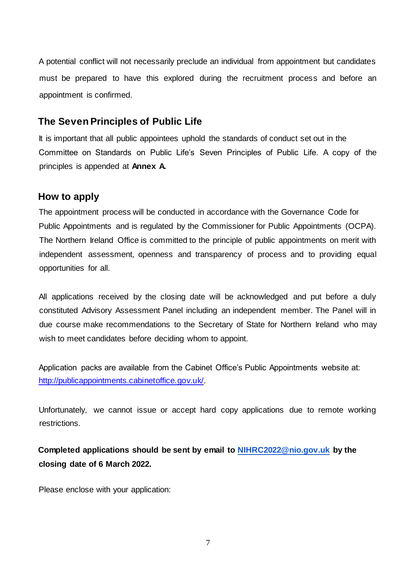A potential conflict will not necessarily preclude an individual from appointment but candidates must be prepared to have this explored during the recruitment process and before an appointment is confirmed.

#### **The Seven Principles of Public Life**

It is important that all public appointees uphold the standards of conduct set out in the Committee on Standards on Public Life's Seven Principles of Public Life. A copy of the principles is appended at **Annex A.**

#### **How to apply**

The appointment process will be conducted in accordance with the Governance Code for Public Appointments and is regulated by the Commissioner for Public Appointments (OCPA). The Northern Ireland Office is committed to the principle of public appointments on merit with independent assessment, openness and transparency of process and to providing equal opportunities for all.

All applications received by the closing date will be acknowledged and put before a duly constituted Advisory Assessment Panel including an independent member. The Panel will in due course make recommendations to the Secretary of State for Northern Ireland who may wish to meet candidates before deciding whom to appoint.

Application packs are available from the Cabinet Office's Public Appointments website at: <http://publicappointments.cabinetoffice.gov.uk/>[.](http://publicappointments.cabinetoffice.gov.uk/) 

Unfortunately, we cannot issue or accept hard copy applications due to remote working restrictions.

**Completed applications should be sent by email to NIHRC2022@nio.gov.uk by the closing date of 6 March 2022.** 

Please enclose with your application: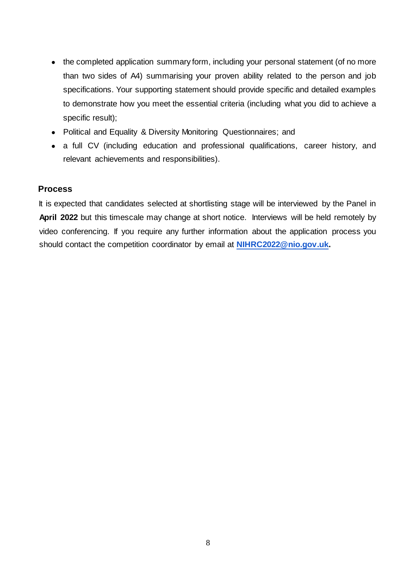- the completed application summary form, including your personal statement (of no more than two sides of A4) summarising your proven ability related to the person and job specifications. Your supporting statement should provide specific and detailed examples to demonstrate how you meet the essential criteria (including what you did to achieve a specific result);
- Political and Equality & Diversity Monitoring Questionnaires; and
- a full CV (including education and professional qualifications, career history, and relevant achievements and responsibilities).

#### **Process**

It is expected that candidates selected at shortlisting stage will be interviewed by the Panel in **April 2022** but this timescale may change at short notice. Interviews will be held remotely by video conferencing. If you require any further information about the application process you should contact the competition coordinator by email at **NIHRC2022@nio.gov.uk.**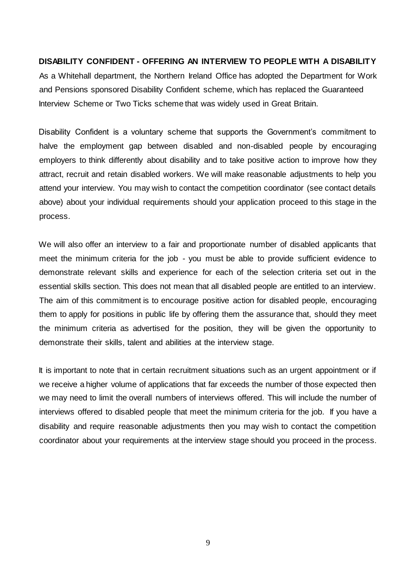#### **DISABILITY CONFIDENT - OFFERING AN INTERVIEW TO PEOPLE WITH A DISABILITY**

As a Whitehall department, the Northern Ireland Office has adopted the Department for Work and Pensions sponsored Disability Confident scheme, which has replaced the Guaranteed Interview Scheme or Two Ticks scheme that was widely used in Great Britain.

Disability Confident is a voluntary scheme that supports the Government's commitment to halve the employment gap between disabled and non-disabled people by encouraging employers to think differently about disability and to take positive action to improve how they attract, recruit and retain disabled workers. We will make reasonable adjustments to help you attend your interview. You may wish to contact the competition coordinator (see contact details above) about your individual requirements should your application proceed to this stage in the process.

We will also offer an interview to a fair and proportionate number of disabled applicants that meet the minimum criteria for the job - you must be able to provide sufficient evidence to demonstrate relevant skills and experience for each of the selection criteria set out in the essential skills section. This does not mean that all disabled people are entitled to an interview. The aim of this commitment is to encourage positive action for disabled people, encouraging them to apply for positions in public life by offering them the assurance that, should they meet the minimum criteria as advertised for the position, they will be given the opportunity to demonstrate their skills, talent and abilities at the interview stage.

It is important to note that in certain recruitment situations such as an urgent appointment or if we receive a higher volume of applications that far exceeds the number of those expected then we may need to limit the overall numbers of interviews offered. This will include the number of interviews offered to disabled people that meet the minimum criteria for the job. If you have a disability and require reasonable adjustments then you may wish to contact the competition coordinator about your requirements at the interview stage should you proceed in the process.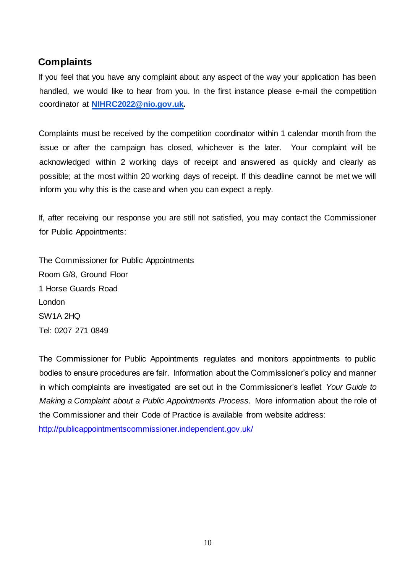### **Complaints**

If you feel that you have any complaint about any aspect of the way your application has been handled, we would like to hear from you. In the first instance please e-mail the competition coordinator at **NIHRC2022@nio.gov.uk.** 

Complaints must be received by the competition coordinator within 1 calendar month from the issue or after the campaign has closed, whichever is the later. Your complaint will be acknowledged within 2 working days of receipt and answered as quickly and clearly as possible; at the most within 20 working days of receipt. If this deadline cannot be met we will inform you why this is the case and when you can expect a reply.

If, after receiving our response you are still not satisfied, you may contact the Commissioner for Public Appointments:

The Commissioner for Public Appointments Room G/8, Ground Floor 1 Horse Guards Road London SW1A 2HQ Tel: 0207 271 0849

The Commissioner for Public Appointments regulates and monitors appointments to public bodies to ensure procedures are fair. Information about the Commissioner's policy and manner in which complaints are investigated are set out in the Commissioner's leaflet *Your Guide to Making a Complaint about a Public Appointments Process.* More information about the role of the Commissioner and their Code of Practice is available from website address: <http://publicappointmentscommissioner.independent.gov.uk/>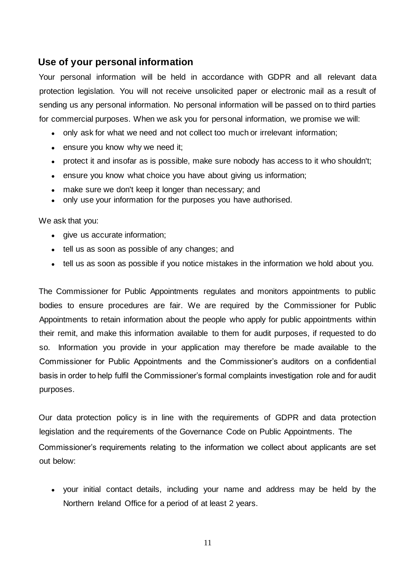#### **Use of your personal information**

Your personal information will be held in accordance with GDPR and all relevant data protection legislation. You will not receive unsolicited paper or electronic mail as a result of sending us any personal information. No personal information will be passed on to third parties for commercial purposes. When we ask you for personal information, we promise we will:

- only ask for what we need and not collect too much or irrelevant information;
- ensure you know why we need it;
- protect it and insofar as is possible, make sure nobody has access to it who shouldn't;
- ensure you know what choice you have about giving us information;
- make sure we don't keep it longer than necessary; and
- only use your information for the purposes you have authorised.

We ask that you:

- give us accurate information;
- tell us as soon as possible of any changes; and
- tell us as soon as possible if you notice mistakes in the information we hold about you.

The Commissioner for Public Appointments regulates and monitors appointments to public bodies to ensure procedures are fair. We are required by the Commissioner for Public Appointments to retain information about the people who apply for public appointments within their remit, and make this information available to them for audit purposes, if requested to do so. Information you provide in your application may therefore be made available to the Commissioner for Public Appointments and the Commissioner's auditors on a confidential basis in order to help fulfil the Commissioner's formal complaints investigation role and for audit purposes.

Our data protection policy is in line with the requirements of GDPR and data protection legislation and the requirements of the Governance Code on Public Appointments. The Commissioner's requirements relating to the information we collect about applicants are set out below:

• your initial contact details, including your name and address may be held by the Northern Ireland Office for a period of at least 2 years.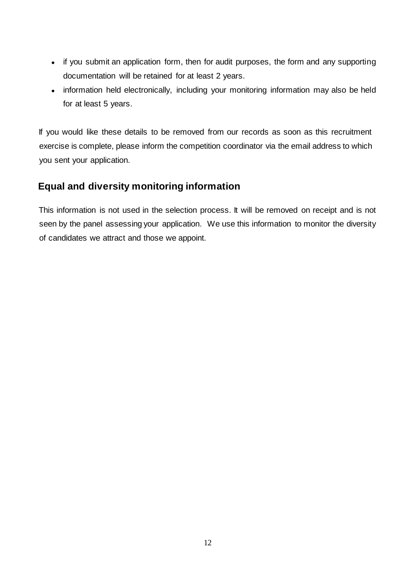- if you submit an application form, then for audit purposes, the form and any supporting documentation will be retained for at least 2 years.
- information held electronically, including your monitoring information may also be held for at least 5 years.

If you would like these details to be removed from our records as soon as this recruitment exercise is complete, please inform the competition coordinator via the email address to which you sent your application.

# **Equal and diversity monitoring information**

This information is not used in the selection process. It will be removed on receipt and is not seen by the panel assessing your application. We use this information to monitor the diversity of candidates we attract and those we appoint.